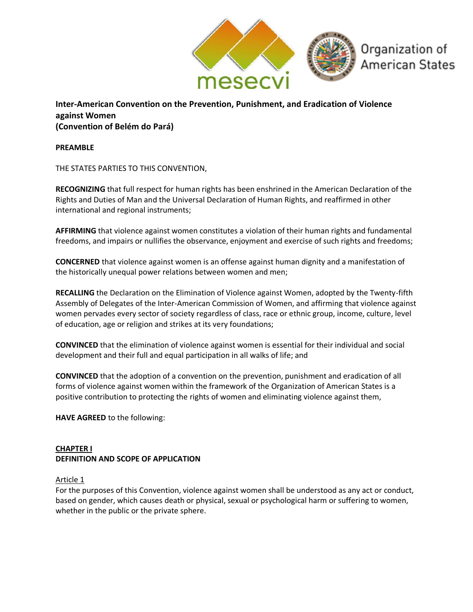

**Inter-American Convention on the Prevention, Punishment, and Eradication of Violence against Women (Convention of Belém do Pará)**

**PREAMBLE** 

THE STATES PARTIES TO THIS CONVENTION,

**RECOGNIZING** that full respect for human rights has been enshrined in the American Declaration of the Rights and Duties of Man and the Universal Declaration of Human Rights, and reaffirmed in other international and regional instruments;

**AFFIRMING** that violence against women constitutes a violation of their human rights and fundamental freedoms, and impairs or nullifies the observance, enjoyment and exercise of such rights and freedoms;

**CONCERNED** that violence against women is an offense against human dignity and a manifestation of the historically unequal power relations between women and men;

**RECALLING** the Declaration on the Elimination of Violence against Women, adopted by the Twenty-fifth Assembly of Delegates of the Inter-American Commission of Women, and affirming that violence against women pervades every sector of society regardless of class, race or ethnic group, income, culture, level of education, age or religion and strikes at its very foundations;

**CONVINCED** that the elimination of violence against women is essential for their individual and social development and their full and equal participation in all walks of life; and

**CONVINCED** that the adoption of a convention on the prevention, punishment and eradication of all forms of violence against women within the framework of the Organization of American States is a positive contribution to protecting the rights of women and eliminating violence against them,

**HAVE AGREED** to the following:

## **CHAPTER I DEFINITION AND SCOPE OF APPLICATION**

Article 1

For the purposes of this Convention, violence against women shall be understood as any act or conduct, based on gender, which causes death or physical, sexual or psychological harm or suffering to women, whether in the public or the private sphere.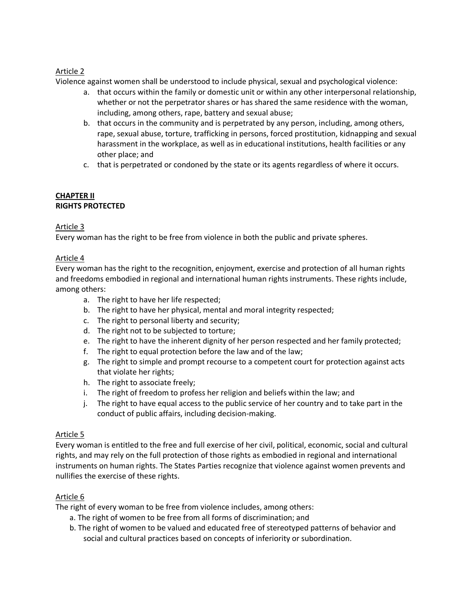## Article 2

Violence against women shall be understood to include physical, sexual and psychological violence:

- a. that occurs within the family or domestic unit or within any other interpersonal relationship, whether or not the perpetrator shares or has shared the same residence with the woman, including, among others, rape, battery and sexual abuse;
- b. that occurs in the community and is perpetrated by any person, including, among others, rape, sexual abuse, torture, trafficking in persons, forced prostitution, kidnapping and sexual harassment in the workplace, as well as in educational institutions, health facilities or any other place; and
- c. that is perpetrated or condoned by the state or its agents regardless of where it occurs.

## **CHAPTER II RIGHTS PROTECTED**

## Article 3

Every woman has the right to be free from violence in both the public and private spheres.

## Article 4

Every woman has the right to the recognition, enjoyment, exercise and protection of all human rights and freedoms embodied in regional and international human rights instruments. These rights include, among others:

- a. The right to have her life respected;
- b. The right to have her physical, mental and moral integrity respected;
- c. The right to personal liberty and security;
- d. The right not to be subjected to torture;
- e. The right to have the inherent dignity of her person respected and her family protected;
- f. The right to equal protection before the law and of the law;
- g. The right to simple and prompt recourse to a competent court for protection against acts that violate her rights;
- h. The right to associate freely;
- i. The right of freedom to profess her religion and beliefs within the law; and
- j. The right to have equal access to the public service of her country and to take part in the conduct of public affairs, including decision-making.

## Article 5

Every woman is entitled to the free and full exercise of her civil, political, economic, social and cultural rights, and may rely on the full protection of those rights as embodied in regional and international instruments on human rights. The States Parties recognize that violence against women prevents and nullifies the exercise of these rights.

## Article 6

The right of every woman to be free from violence includes, among others:

- a. The right of women to be free from all forms of discrimination; and
- b. The right of women to be valued and educated free of stereotyped patterns of behavior and social and cultural practices based on concepts of inferiority or subordination.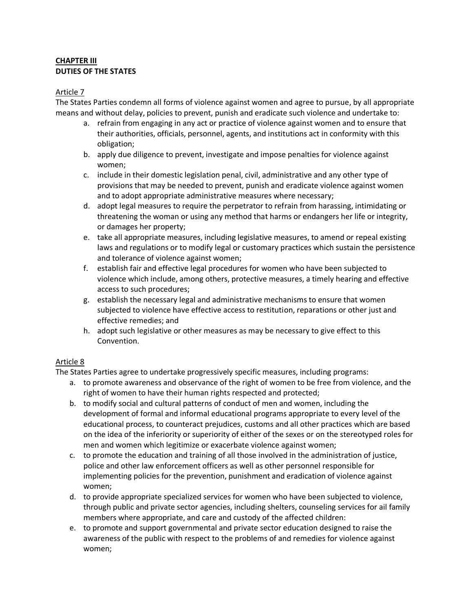## **CHAPTER III DUTIES OF THE STATES**

## Article 7

The States Parties condemn all forms of violence against women and agree to pursue, by all appropriate means and without delay, policies to prevent, punish and eradicate such violence and undertake to:

- a. refrain from engaging in any act or practice of violence against women and to ensure that their authorities, officials, personnel, agents, and institutions act in conformity with this obligation;
- b. apply due diligence to prevent, investigate and impose penalties for violence against women;
- c. include in their domestic legislation penal, civil, administrative and any other type of provisions that may be needed to prevent, punish and eradicate violence against women and to adopt appropriate administrative measures where necessary;
- d. adopt legal measures to require the perpetrator to refrain from harassing, intimidating or threatening the woman or using any method that harms or endangers her life or integrity, or damages her property;
- e. take all appropriate measures, including legislative measures, to amend or repeal existing laws and regulations or to modify legal or customary practices which sustain the persistence and tolerance of violence against women;
- f. establish fair and effective legal procedures for women who have been subjected to violence which include, among others, protective measures, a timely hearing and effective access to such procedures;
- g. establish the necessary legal and administrative mechanisms to ensure that women subjected to violence have effective access to restitution, reparations or other just and effective remedies; and
- h. adopt such legislative or other measures as may be necessary to give effect to this Convention.

# Article 8

The States Parties agree to undertake progressively specific measures, including programs:

- a. to promote awareness and observance of the right of women to be free from violence, and the right of women to have their human rights respected and protected;
- b. to modify social and cultural patterns of conduct of men and women, including the development of formal and informal educational programs appropriate to every level of the educational process, to counteract prejudices, customs and all other practices which are based on the idea of the inferiority or superiority of either of the sexes or on the stereotyped roles for men and women which legitimize or exacerbate violence against women;
- c. to promote the education and training of all those involved in the administration of justice, police and other law enforcement officers as well as other personnel responsible for implementing policies for the prevention, punishment and eradication of violence against women;
- d. to provide appropriate specialized services for women who have been subjected to violence, through public and private sector agencies, including shelters, counseling services for ail family members where appropriate, and care and custody of the affected children:
- e. to promote and support governmental and private sector education designed to raise the awareness of the public with respect to the problems of and remedies for violence against women;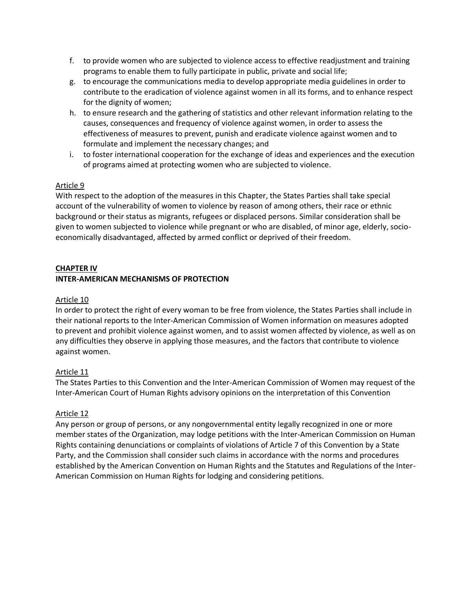- f. to provide women who are subjected to violence access to effective readjustment and training programs to enable them to fully participate in public, private and social life;
- g. to encourage the communications media to develop appropriate media guidelines in order to contribute to the eradication of violence against women in all its forms, and to enhance respect for the dignity of women;
- h. to ensure research and the gathering of statistics and other relevant information relating to the causes, consequences and frequency of violence against women, in order to assess the effectiveness of measures to prevent, punish and eradicate violence against women and to formulate and implement the necessary changes; and
- i. to foster international cooperation for the exchange of ideas and experiences and the execution of programs aimed at protecting women who are subjected to violence.

## Article 9

With respect to the adoption of the measures in this Chapter, the States Parties shall take special account of the vulnerability of women to violence by reason of among others, their race or ethnic background or their status as migrants, refugees or displaced persons. Similar consideration shall be given to women subjected to violence while pregnant or who are disabled, of minor age, elderly, socioeconomically disadvantaged, affected by armed conflict or deprived of their freedom.

### **CHAPTER IV**

## **INTER-AMERICAN MECHANISMS OF PROTECTION**

### Article 10

In order to protect the right of every woman to be free from violence, the States Parties shall include in their national reports to the Inter-American Commission of Women information on measures adopted to prevent and prohibit violence against women, and to assist women affected by violence, as well as on any difficulties they observe in applying those measures, and the factors that contribute to violence against women.

## Article 11

The States Parties to this Convention and the Inter-American Commission of Women may request of the Inter-American Court of Human Rights advisory opinions on the interpretation of this Convention

## Article 12

Any person or group of persons, or any nongovernmental entity legally recognized in one or more member states of the Organization, may lodge petitions with the Inter-American Commission on Human Rights containing denunciations or complaints of violations of Article 7 of this Convention by a State Party, and the Commission shall consider such claims in accordance with the norms and procedures established by the American Convention on Human Rights and the Statutes and Regulations of the Inter-American Commission on Human Rights for lodging and considering petitions.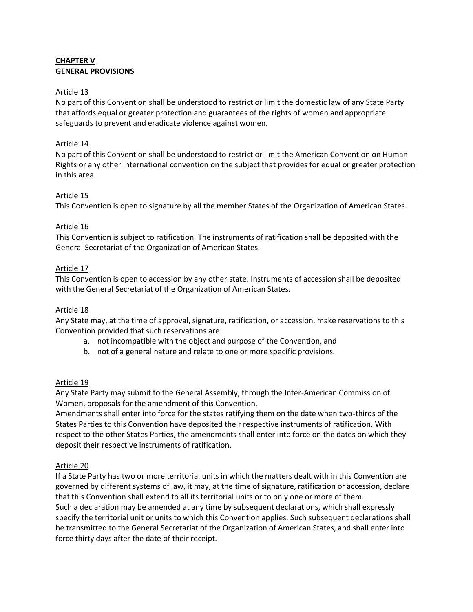## **CHAPTER V GENERAL PROVISIONS**

### Article 13

No part of this Convention shall be understood to restrict or limit the domestic law of any State Party that affords equal or greater protection and guarantees of the rights of women and appropriate safeguards to prevent and eradicate violence against women.

### Article 14

No part of this Convention shall be understood to restrict or limit the American Convention on Human Rights or any other international convention on the subject that provides for equal or greater protection in this area.

### Article 15

This Convention is open to signature by all the member States of the Organization of American States.

### Article 16

This Convention is subject to ratification. The instruments of ratification shall be deposited with the General Secretariat of the Organization of American States.

### Article 17

This Convention is open to accession by any other state. Instruments of accession shall be deposited with the General Secretariat of the Organization of American States.

#### Article 18

Any State may, at the time of approval, signature, ratification, or accession, make reservations to this Convention provided that such reservations are:

- a. not incompatible with the object and purpose of the Convention, and
- b. not of a general nature and relate to one or more specific provisions.

#### Article 19

Any State Party may submit to the General Assembly, through the Inter-American Commission of Women, proposals for the amendment of this Convention.

Amendments shall enter into force for the states ratifying them on the date when two-thirds of the States Parties to this Convention have deposited their respective instruments of ratification. With respect to the other States Parties, the amendments shall enter into force on the dates on which they deposit their respective instruments of ratification.

#### Article 20

If a State Party has two or more territorial units in which the matters dealt with in this Convention are governed by different systems of law, it may, at the time of signature, ratification or accession, declare that this Convention shall extend to all its territorial units or to only one or more of them. Such a declaration may be amended at any time by subsequent declarations, which shall expressly specify the territorial unit or units to which this Convention applies. Such subsequent declarations shall be transmitted to the General Secretariat of the Organization of American States, and shall enter into force thirty days after the date of their receipt.